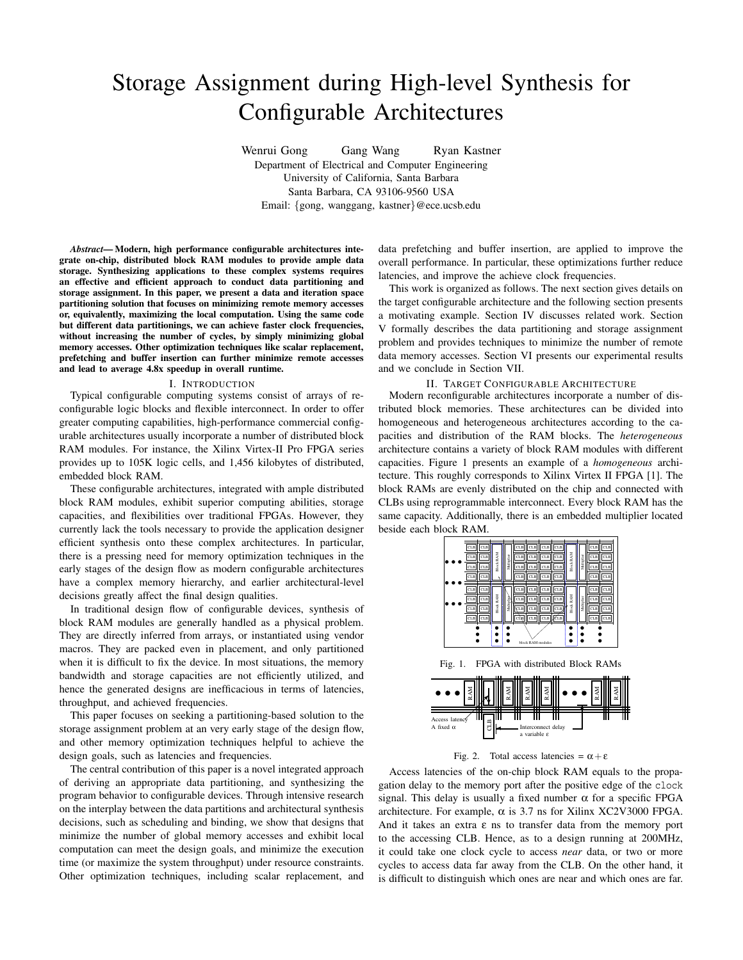# Storage Assignment during High-level Synthesis for Configurable Architectures

Wenrui Gong Gang Wang Ryan Kastner Department of Electrical and Computer Engineering University of California, Santa Barbara Santa Barbara, CA 93106-9560 USA Email: {gong, wanggang, kastner}@ece.ucsb.edu

*Abstract***— Modern, high performance configurable architectures integrate on-chip, distributed block RAM modules to provide ample data storage. Synthesizing applications to these complex systems requires an effective and efficient approach to conduct data partitioning and storage assignment. In this paper, we present a data and iteration space partitioning solution that focuses on minimizing remote memory accesses or, equivalently, maximizing the local computation. Using the same code but different data partitionings, we can achieve faster clock frequencies, without increasing the number of cycles, by simply minimizing global memory accesses. Other optimization techniques like scalar replacement, prefetching and buffer insertion can further minimize remote accesses and lead to average 4.8x speedup in overall runtime.**

#### I. INTRODUCTION

Typical configurable computing systems consist of arrays of reconfigurable logic blocks and flexible interconnect. In order to offer greater computing capabilities, high-performance commercial configurable architectures usually incorporate a number of distributed block RAM modules. For instance, the Xilinx Virtex-II Pro FPGA series provides up to 105K logic cells, and 1,456 kilobytes of distributed, embedded block RAM.

These configurable architectures, integrated with ample distributed block RAM modules, exhibit superior computing abilities, storage capacities, and flexibilities over traditional FPGAs. However, they currently lack the tools necessary to provide the application designer efficient synthesis onto these complex architectures. In particular, there is a pressing need for memory optimization techniques in the early stages of the design flow as modern configurable architectures have a complex memory hierarchy, and earlier architectural-level decisions greatly affect the final design qualities.

In traditional design flow of configurable devices, synthesis of block RAM modules are generally handled as a physical problem. They are directly inferred from arrays, or instantiated using vendor macros. They are packed even in placement, and only partitioned when it is difficult to fix the device. In most situations, the memory bandwidth and storage capacities are not efficiently utilized, and hence the generated designs are inefficacious in terms of latencies, throughput, and achieved frequencies.

This paper focuses on seeking a partitioning-based solution to the storage assignment problem at an very early stage of the design flow, and other memory optimization techniques helpful to achieve the design goals, such as latencies and frequencies.

The central contribution of this paper is a novel integrated approach of deriving an appropriate data partitioning, and synthesizing the program behavior to configurable devices. Through intensive research on the interplay between the data partitions and architectural synthesis decisions, such as scheduling and binding, we show that designs that minimize the number of global memory accesses and exhibit local computation can meet the design goals, and minimize the execution time (or maximize the system throughput) under resource constraints. Other optimization techniques, including scalar replacement, and

data prefetching and buffer insertion, are applied to improve the overall performance. In particular, these optimizations further reduce latencies, and improve the achieve clock frequencies.

This work is organized as follows. The next section gives details on the target configurable architecture and the following section presents a motivating example. Section IV discusses related work. Section V formally describes the data partitioning and storage assignment problem and provides techniques to minimize the number of remote data memory accesses. Section VI presents our experimental results and we conclude in Section VII.

## II. TARGET CONFIGURABLE ARCHITECTURE

Modern reconfigurable architectures incorporate a number of distributed block memories. These architectures can be divided into homogeneous and heterogeneous architectures according to the capacities and distribution of the RAM blocks. The *heterogeneous* architecture contains a variety of block RAM modules with different capacities. Figure 1 presents an example of a *homogeneous* architecture. This roughly corresponds to Xilinx Virtex II FPGA [1]. The block RAMs are evenly distributed on the chip and connected with CLBs using reprogrammable interconnect. Every block RAM has the same capacity. Additionally, there is an embedded multiplier located beside each block RAM.



Fig. 1. FPGA with distributed Block RAMs



Fig. 2. Total access latencies =  $\alpha + \varepsilon$ 

Access latencies of the on-chip block RAM equals to the propagation delay to the memory port after the positive edge of the clock signal. This delay is usually a fixed number  $\alpha$  for a specific FPGA architecture. For example,  $\alpha$  is 3.7 ns for Xilinx XC2V3000 FPGA. And it takes an extra ε ns to transfer data from the memory port to the accessing CLB. Hence, as to a design running at 200MHz, it could take one clock cycle to access *near* data, or two or more cycles to access data far away from the CLB. On the other hand, it is difficult to distinguish which ones are near and which ones are far.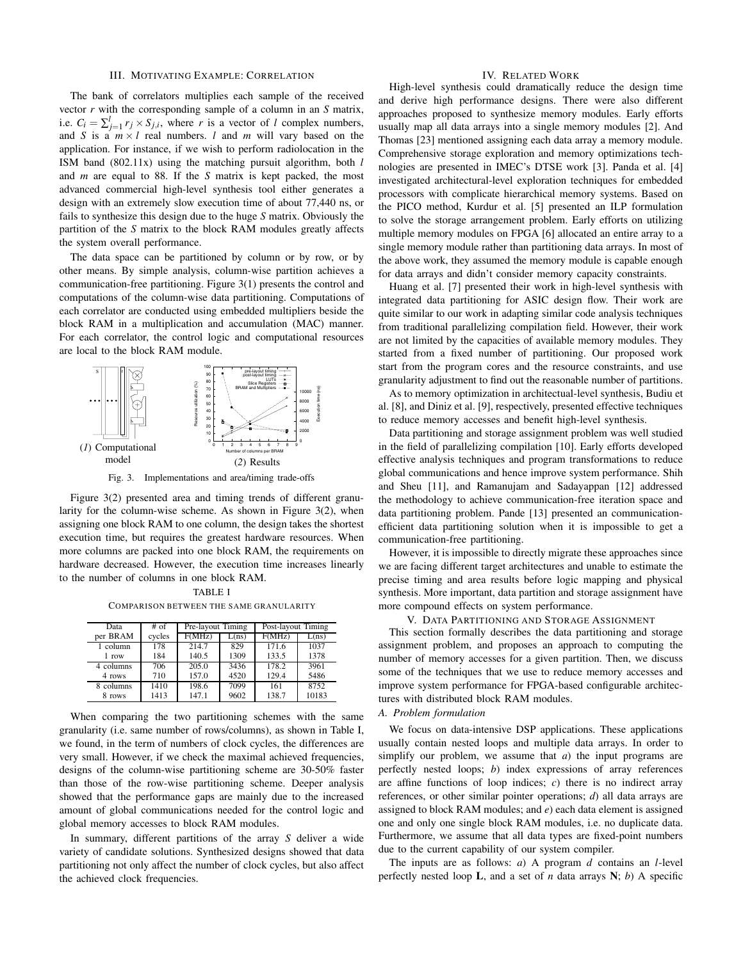## III. MOTIVATING EXAMPLE: CORRELATION

The bank of correlators multiplies each sample of the received vector *r* with the corresponding sample of a column in an *S* matrix, i.e.  $C_i = \sum_{j=1}^{l} r_j \times S_{j,i}$ , where *r* is a vector of *l* complex numbers, and *S* is a  $m \times l$  real numbers. *l* and *m* will vary based on the application. For instance, if we wish to perform radiolocation in the ISM band (802.11x) using the matching pursuit algorithm, both *l* and *m* are equal to 88. If the *S* matrix is kept packed, the most advanced commercial high-level synthesis tool either generates a design with an extremely slow execution time of about 77,440 ns, or fails to synthesize this design due to the huge *S* matrix. Obviously the partition of the *S* matrix to the block RAM modules greatly affects the system overall performance.

The data space can be partitioned by column or by row, or by other means. By simple analysis, column-wise partition achieves a communication-free partitioning. Figure 3(1) presents the control and computations of the column-wise data partitioning. Computations of each correlator are conducted using embedded multipliers beside the block RAM in a multiplication and accumulation (MAC) manner. For each correlator, the control logic and computational resources are local to the block RAM module.



Figure 3(2) presented area and timing trends of different granularity for the column-wise scheme. As shown in Figure 3(2), when assigning one block RAM to one column, the design takes the shortest execution time, but requires the greatest hardware resources. When more columns are packed into one block RAM, the requirements on hardware decreased. However, the execution time increases linearly to the number of columns in one block RAM.

TABLE I COMPARISON BETWEEN THE SAME GRANULARITY

| Data      | $#$ of | Pre-layout Timing |       | Post-layout Timing |       |
|-----------|--------|-------------------|-------|--------------------|-------|
|           |        |                   |       |                    |       |
| per BRAM  | cycles | F(MHz)            | L(ns) | F(MHz)             | L(ns) |
| 1 column  | 178    | 214.7             | 829   | 171.6              | 1037  |
| 1 row     | 184    | 140.5             | 1309  | 133.5              | 1378  |
| 4 columns | 706    | 205.0             | 3436  | 178.2              | 3961  |
| 4 rows    | 710    | 157.0             | 4520  | 129.4              | 5486  |
| 8 columns | 1410   | 198.6             | 7099  | 161                | 8752  |
| 8 rows    | 1413   | 147.1             | 9602  | 138.7              | 10183 |

When comparing the two partitioning schemes with the same granularity (i.e. same number of rows/columns), as shown in Table I, we found, in the term of numbers of clock cycles, the differences are very small. However, if we check the maximal achieved frequencies, designs of the column-wise partitioning scheme are 30-50% faster than those of the row-wise partitioning scheme. Deeper analysis showed that the performance gaps are mainly due to the increased amount of global communications needed for the control logic and global memory accesses to block RAM modules.

In summary, different partitions of the array *S* deliver a wide variety of candidate solutions. Synthesized designs showed that data partitioning not only affect the number of clock cycles, but also affect the achieved clock frequencies.

## IV. RELATED WORK

High-level synthesis could dramatically reduce the design time and derive high performance designs. There were also different approaches proposed to synthesize memory modules. Early efforts usually map all data arrays into a single memory modules [2]. And Thomas [23] mentioned assigning each data array a memory module. Comprehensive storage exploration and memory optimizations technologies are presented in IMEC's DTSE work [3]. Panda et al. [4] investigated architectural-level exploration techniques for embedded processors with complicate hierarchical memory systems. Based on the PICO method, Kurdur et al. [5] presented an ILP formulation to solve the storage arrangement problem. Early efforts on utilizing multiple memory modules on FPGA [6] allocated an entire array to a single memory module rather than partitioning data arrays. In most of the above work, they assumed the memory module is capable enough for data arrays and didn't consider memory capacity constraints.

Huang et al. [7] presented their work in high-level synthesis with integrated data partitioning for ASIC design flow. Their work are quite similar to our work in adapting similar code analysis techniques from traditional parallelizing compilation field. However, their work are not limited by the capacities of available memory modules. They started from a fixed number of partitioning. Our proposed work start from the program cores and the resource constraints, and use granularity adjustment to find out the reasonable number of partitions.

As to memory optimization in architectual-level synthesis, Budiu et al. [8], and Diniz et al. [9], respectively, presented effective techniques to reduce memory accesses and benefit high-level synthesis.

Data partitioning and storage assignment problem was well studied in the field of parallelizing compilation [10]. Early efforts developed effective analysis techniques and program transformations to reduce global communications and hence improve system performance. Shih and Sheu [11], and Ramanujam and Sadayappan [12] addressed the methodology to achieve communication-free iteration space and data partitioning problem. Pande [13] presented an communicationefficient data partitioning solution when it is impossible to get a communication-free partitioning.

However, it is impossible to directly migrate these approaches since we are facing different target architectures and unable to estimate the precise timing and area results before logic mapping and physical synthesis. More important, data partition and storage assignment have more compound effects on system performance.

V. DATA PARTITIONING AND STORAGE ASSIGNMENT

This section formally describes the data partitioning and storage assignment problem, and proposes an approach to computing the number of memory accesses for a given partition. Then, we discuss some of the techniques that we use to reduce memory accesses and improve system performance for FPGA-based configurable architectures with distributed block RAM modules.

# *A. Problem formulation*

We focus on data-intensive DSP applications. These applications usually contain nested loops and multiple data arrays. In order to simplify our problem, we assume that *a*) the input programs are perfectly nested loops; *b*) index expressions of array references are affine functions of loop indices; *c*) there is no indirect array references, or other similar pointer operations; *d*) all data arrays are assigned to block RAM modules; and *e*) each data element is assigned one and only one single block RAM modules, i.e. no duplicate data. Furthermore, we assume that all data types are fixed-point numbers due to the current capability of our system compiler.

The inputs are as follows: *a*) A program *d* contains an *l*-level perfectly nested loop **L**, and a set of *n* data arrays **N**; *b*) A specific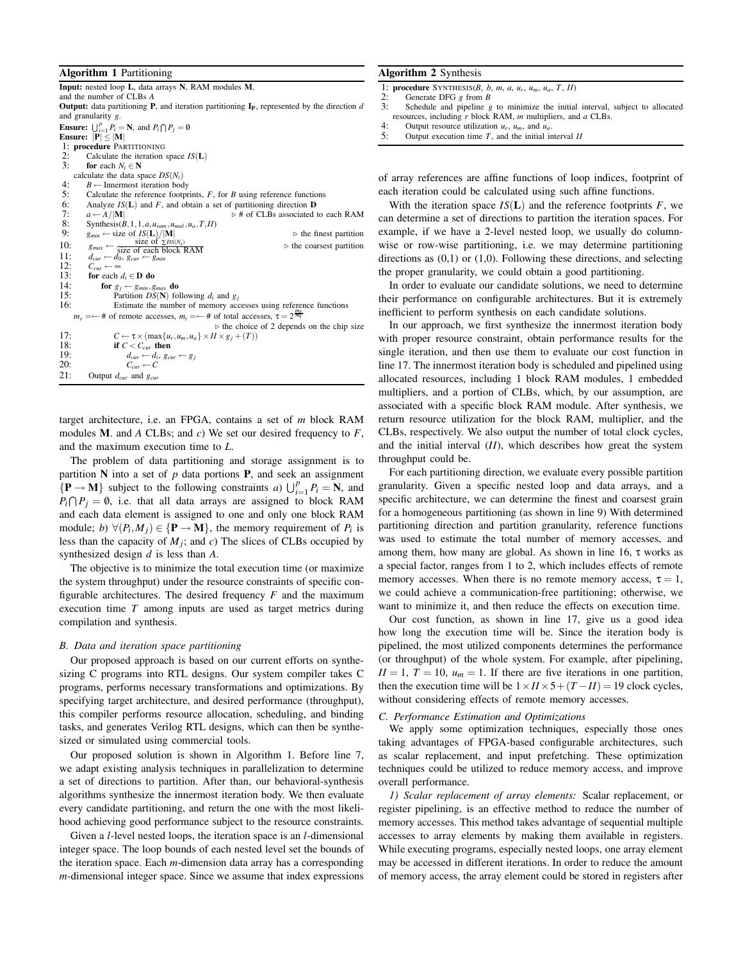## **Algorithm 1** Partitioning

**Input:** nested loop **L**, data arrays **N**, RAM modules **M**, and the number of CLBs *A* **Output:** data partitioning **P**, and iteration partitioning **I**<sub>P</sub>, represented by the direction *d* and granularity *g*. **Ensure:**  $\bigcup_{i=1}^{p} P_i = \mathbb{N}$ , and  $P_i \bigcap P_j = \emptyset$ **Ensure:**  $|\mathbf{P}| \leq |\mathbf{M}|$ 1: **procedure** PARTITIONING 2: Calculate the iteration space  $IS(L)$ <br>3: **for** each  $N_i \in \mathbb{N}$ **for** each  $N_i \in \mathbb{N}$ calculate the data space *DS*(*Ni*) 4:  $B \leftarrow$  Innermost iteration body<br>5: Calculate the reference footpr 5: Calculate the reference footprints,  $F$ , for  $B$  using reference functions 6: Analyze  $IS(L)$  and  $F$ , and obtain a set of partitioning direction **D** 6: Analyze *IS*(**L**) and *F*, and obtain a set of partitioning direction **D**<br>7:  $a \leftarrow A/|\mathbf{M}|$ 7:  $a \leftarrow A/|\mathbf{M}|$   $\triangleright \#$  of CLBs associated to each RAM 8: Synthesis(*B*, 1, 1, *a*, *u<sub>ram</sub>*, *u<sub>mul</sub>*, *u<sub>a</sub>*, *T*, *II*) 8: Synthesis(*B*, 1, 1, *a*, *u<sub>ram</sub>*, *u<sub>mul</sub>*, *u<sub>a</sub>*, *T*, *II*)<br>9:  $g_{min} \leftarrow$  size of *IS*(**L**)/|**M**|  $g_{min} \leftarrow$  size of  $I S(L)/|M|$   $\qquad \qquad \triangleright$  the finest partition 10:  $g_{max} \leftarrow \frac{\text{size of } \Sigma \text{DS}(N_i)}{\text{size of each block RAM}}$   $\triangleright$  the coarsest partition 10:  $g_{max} \leftarrow \frac{\text{size of } \Sigma}{\text{size of each } b}$ <br>
11:  $d_{cur} \leftarrow d_0, g_{cur} \leftarrow g_{min}$ <br>
12:  $C_{cur} \leftarrow \infty$ 12:  $C_{cur} \leftarrow \infty$ <br>13: **for** each 13: **for** each  $d_i \in \mathbf{D}$  **do**<br>14: **for**  $e_i \leftarrow e_{min} e_i$ 14: **for**  $g_j \leftarrow g_{min}, g_{max}$  **do**<br>15: Partition *DS*(**N**) following  $d_i$  and  $g_j$ 16: Estimate the number of memory accesses using reference functions *m<sub>r</sub>* =← # of remote accesses,  $m_t = \leftarrow$  # of total accesses,  $\tau = 2^{\frac{m_t}{m_t}}$  $\rhd$  the choice of 2 depends on the chip size 17:  $C \leftarrow \tau \times (\max\{u_r, u_m, u_a\} \times I I \times g_j + (T))$ <br>18: **if**  $C < C_{cur}$  then 18: **if**  $C < C_{cur}$  **then**<br>19:  $d_{cur} \leftarrow d_i$ ,  $g_{cr}$ 19:  $d_{cur} \leftarrow d_i, g_{cur} \leftarrow g_j$ <br>20:  $C_{cur} \leftarrow C$  $C_{cur} \leftarrow C$ 21: Output  $d_{cur}$  and  $g_{cur}$ 

target architecture, i.e. an FPGA, contains a set of *m* block RAM modules **M**. and *A* CLBs; and *c*) We set our desired frequency to *F*, and the maximum execution time to *L*.

The problem of data partitioning and storage assignment is to partition  $N$  into a set of  $p$  data portions  $P$ , and seek an assignment  ${\bf P} \to {\bf M}$  subject to the following constraints *a*)  $\bigcup_{i=1}^{p} P_i = {\bf N}$ , and  $P_i \cap P_j = \emptyset$ , i.e. that all data arrays are assigned to block RAM and each data element is assigned to one and only one block RAM module; *b*)  $\forall (P_i, M_i) \in {\bf P} \rightarrow {\bf M}$ , the memory requirement of  $P_i$  is less than the capacity of  $M_i$ ; and  $c$ ) The slices of CLBs occupied by synthesized design *d* is less than *A*.

The objective is to minimize the total execution time (or maximize the system throughput) under the resource constraints of specific configurable architectures. The desired frequency *F* and the maximum execution time *T* among inputs are used as target metrics during compilation and synthesis.

## *B. Data and iteration space partitioning*

Our proposed approach is based on our current efforts on synthesizing C programs into RTL designs. Our system compiler takes C programs, performs necessary transformations and optimizations. By specifying target architecture, and desired performance (throughput), this compiler performs resource allocation, scheduling, and binding tasks, and generates Verilog RTL designs, which can then be synthesized or simulated using commercial tools.

Our proposed solution is shown in Algorithm 1. Before line 7, we adapt existing analysis techniques in parallelization to determine a set of directions to partition. After than, our behavioral-synthesis algorithms synthesize the innermost iteration body. We then evaluate every candidate partitioning, and return the one with the most likelihood achieving good performance subject to the resource constraints.

Given a *l*-level nested loops, the iteration space is an *l*-dimensional integer space. The loop bounds of each nested level set the bounds of the iteration space. Each *m*-dimension data array has a corresponding *m*-dimensional integer space. Since we assume that index expressions

## **Algorithm 2** Synthesis

1: **procedure** SYNTHESIS(*B*, *b*, *m*, *a*, *u<sub>r</sub>*, *u<sub>m</sub>*, *u<sub>a</sub>*, *T*, *II*)<br>2: Generate DFG *g* from *B* 

```
2: Generate DFG g from B<br>3: Schedule and pipeline g
```
Schedule and pipeline *g* to minimize the initial interval, subject to allocated resources, including *r* block RAM, *m* multipliers, and *a* CLBs.

5: Output execution time *T*, and the initial interval *II*

of array references are affine functions of loop indices, footprint of each iteration could be calculated using such affine functions.

With the iteration space  $IS(L)$  and the reference footprints  $F$ , we can determine a set of directions to partition the iteration spaces. For example, if we have a 2-level nested loop, we usually do columnwise or row-wise partitioning, i.e. we may determine partitioning directions as (0,1) or (1,0). Following these directions, and selecting the proper granularity, we could obtain a good partitioning.

In order to evaluate our candidate solutions, we need to determine their performance on configurable architectures. But it is extremely inefficient to perform synthesis on each candidate solutions.

In our approach, we first synthesize the innermost iteration body with proper resource constraint, obtain performance results for the single iteration, and then use them to evaluate our cost function in line 17. The innermost iteration body is scheduled and pipelined using allocated resources, including 1 block RAM modules, 1 embedded multipliers, and a portion of CLBs, which, by our assumption, are associated with a specific block RAM module. After synthesis, we return resource utilization for the block RAM, multiplier, and the CLBs, respectively. We also output the number of total clock cycles, and the initial interval (*II*), which describes how great the system throughput could be.

For each partitioning direction, we evaluate every possible partition granularity. Given a specific nested loop and data arrays, and a specific architecture, we can determine the finest and coarsest grain for a homogeneous partitioning (as shown in line 9) With determined partitioning direction and partition granularity, reference functions was used to estimate the total number of memory accesses, and among them, how many are global. As shown in line 16, τ works as a special factor, ranges from 1 to 2, which includes effects of remote memory accesses. When there is no remote memory access,  $\tau = 1$ , we could achieve a communication-free partitioning; otherwise, we want to minimize it, and then reduce the effects on execution time.

Our cost function, as shown in line 17, give us a good idea how long the execution time will be. Since the iteration body is pipelined, the most utilized components determines the performance (or throughput) of the whole system. For example, after pipelining,  $II = 1, T = 10, u_m = 1$ . If there are five iterations in one partition, then the execution time will be  $1 \times I I \times 5 + (T - II) = 19$  clock cycles, without considering effects of remote memory accesses.

#### *C. Performance Estimation and Optimizations*

We apply some optimization techniques, especially those ones taking advantages of FPGA-based configurable architectures, such as scalar replacement, and input prefetching. These optimization techniques could be utilized to reduce memory access, and improve overall performance.

*1) Scalar replacement of array elements:* Scalar replacement, or register pipelining, is an effective method to reduce the number of memory accesses. This method takes advantage of sequential multiple accesses to array elements by making them available in registers. While executing programs, especially nested loops, one array element may be accessed in different iterations. In order to reduce the amount of memory access, the array element could be stored in registers after

<sup>4:</sup> Output resource utilization  $u_r$ ,  $u_m$ , and  $u_a$ <br>5: Output execution time *T*, and the initial is